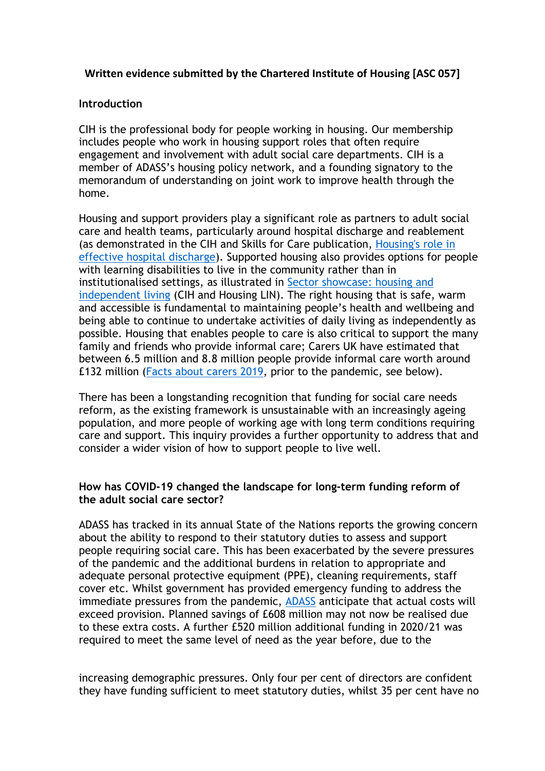## **Written evidence submitted by the Chartered Institute of Housing [ASC 057]**

### **Introduction**

CIH is the professional body for people working in housing. Our membership includes people who work in housing support roles that often require engagement and involvement with adult social care departments. CIH is a member of ADASS's housing policy network, and a founding signatory to the memorandum of understanding on joint work to improve health through the home.

Housing and support providers play a significant role as partners to adult social care and health teams, particularly around hospital discharge and reablement (as demonstrated in the CIH and Skills for Care publication, [Housing's](http://www.cih.org/publication-free/display/vpathDCR/templatedata/cih/publication-free/data/Sector_showcase_housing_effective_hospital_discharge) [role](http://www.cih.org/publication-free/display/vpathDCR/templatedata/cih/publication-free/data/Sector_showcase_housing_effective_hospital_discharge) [in](http://www.cih.org/publication-free/display/vpathDCR/templatedata/cih/publication-free/data/Sector_showcase_housing_effective_hospital_discharge) [effective](http://www.cih.org/publication-free/display/vpathDCR/templatedata/cih/publication-free/data/Sector_showcase_housing_effective_hospital_discharge) [hospital](http://www.cih.org/publication-free/display/vpathDCR/templatedata/cih/publication-free/data/Sector_showcase_housing_effective_hospital_discharge) [discharge](http://www.cih.org/publication-free/display/vpathDCR/templatedata/cih/publication-free/data/Sector_showcase_housing_effective_hospital_discharge)). Supported housing also provides options for people with learning disabilities to live in the community rather th[a](https://www.housinglin.org.uk/_assets/Resources/Housing/Support_materials/Sector-showcase-independent-living.pdf)n in institutional[is](https://www.housinglin.org.uk/_assets/Resources/Housing/Support_materials/Sector-showcase-independent-living.pdf)ed settings, as illustrated in [Sector](https://www.housinglin.org.uk/_assets/Resources/Housing/Support_materials/Sector-showcase-independent-living.pdf) [showcase:](https://www.housinglin.org.uk/_assets/Resources/Housing/Support_materials/Sector-showcase-independent-living.pdf) [housing](https://www.housinglin.org.uk/_assets/Resources/Housing/Support_materials/Sector-showcase-independent-living.pdf) [and](https://www.housinglin.org.uk/_assets/Resources/Housing/Support_materials/Sector-showcase-independent-living.pdf) [independent](https://www.housinglin.org.uk/_assets/Resources/Housing/Support_materials/Sector-showcase-independent-living.pdf) [living](https://www.housinglin.org.uk/_assets/Resources/Housing/Support_materials/Sector-showcase-independent-living.pdf) (CIH and Housing LIN). The right housing that is safe, warm and accessible is fundamental to maintaining people's health and wellbeing and being able to continue to undertake activities of daily living as independently as possible. Housing that enables people to care is also critical to support the many family and friends who provide informal care; Carers UK have estimated that between 6.5 million and 8.8 million people provide informal care worth around £132 million ([Facts](https://www.carersuk.org/images/Facts_about_Carers_2019.pdf) [about](https://www.carersuk.org/images/Facts_about_Carers_2019.pdf) [carers](https://www.carersuk.org/images/Facts_about_Carers_2019.pdf) [2019,](https://www.carersuk.org/images/Facts_about_Carers_2019.pdf) prior to the pandemic, see below).

There has been a longstanding recognition that funding for social care needs reform, as the existing framework is unsustainable with an increasingly ageing population, and more people of working age with long term conditions requiring care and support. This inquiry provides a further opportunity to address that and consider a wider vision of how to support people to live well.

### **How has COVID-19 changed the landscape for long-term funding reform of the adult social care sector?**

ADASS has tracked in its annual State of the Nations reports the growing concern about the ability to respond to their statutory duties to assess and support people requiring social care. This has been exacerbated by the severe pressures of the pandemic and the additional burdens in relation to appropriate and adequate personal protective equipment (PPE), cleaning requirements, staff cover etc. Whilst government has provided emergency funding to address the immediate pressures from the pandemic, **[ADASS](https://www.adass.org.uk/media/7973/no-embargo-adass-budget-survey-report.pdf)** anticipate that actual costs will exceed provision. Planned savings of £608 million may not now be realised due to these extra costs. A further £520 million additional funding in 2020/21 was required to meet the same level of need as the year before, due to the

increasing demographic pressures. Only four per cent of directors are confident they have funding sufficient to meet statutory duties, whilst 35 per cent have no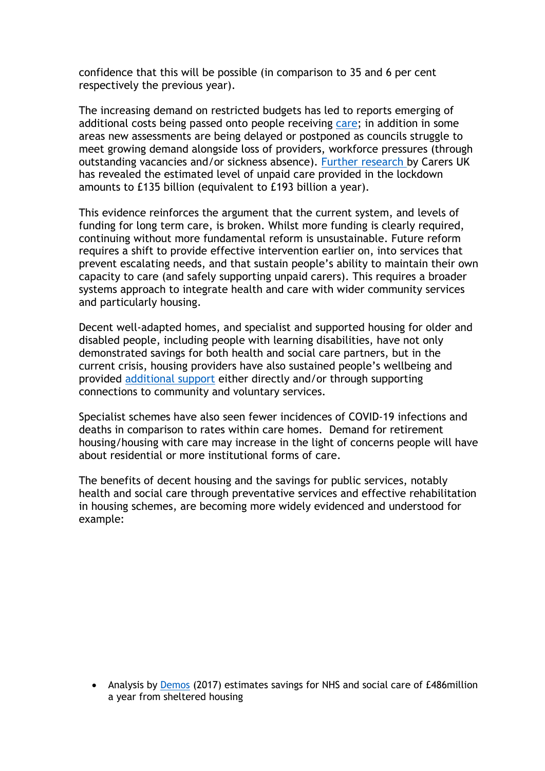confidence that this will be possible (in comparison to 35 and 6 per cent respectively the previous year).

The increasing demand on restricted budgets has led to reports emerging of additional costs being passed onto people receiving [care;](https://www.communitycare.co.uk/2021/04/13/social-care-cuts-increased-charges-causing-huge-distress-disabled-people/) in addition in some areas new assessments are being delayed or postponed as councils struggle to meet growing demand alongside loss of providers, workforce pressures (through outstanding vacancies and/or sickness absence). [Further](https://www.carersuk.org/images/News_and_campaigns/Unseen_and_undervalued.pdf) [research](https://www.carersuk.org/images/News_and_campaigns/Unseen_and_undervalued.pdf) [b](https://www.carersuk.org/images/News_and_campaigns/Unseen_and_undervalued.pdf)y Carers UK has revealed the estimated level of unpaid care provided in the lockdown amounts to £135 billion (equivalent to £193 billion a year).

This evidence reinforces the argument that the current system, and levels of funding for long term care, is broken. Whilst more funding is clearly required, continuing without more fundamental reform is unsustainable. Future reform requires a shift to provide effective intervention earlier on, into services that prevent escalating needs, and that sustain people's ability to maintain their own capacity to care (and safely supporting unpaid carers). This requires a broader systems approach to integrate health and care with wider community services and particularly housing.

Decent well-adapted homes, and specialist and supported housing for older and disabled people, including people with learning disabilities, have not only demonstrated savings for both health and social care partners, but in the current crisis, housing providers have also sustained people's wellbeing and provided [additional](https://www.housing.org.uk/news-and-blogs/blogs/lorraine-adams/how-we-are-supporting-our-most-vulnerable-residents-during-the-coronavirus-outbreak/) [support](https://www.housing.org.uk/news-and-blogs/blogs/lorraine-adams/how-we-are-supporting-our-most-vulnerable-residents-during-the-coronavirus-outbreak/) either directly and/or through supporting connections to community and voluntary services.

Specialist schemes have also seen fewer incidences of COVID-19 infections and deaths in comparison to rates within care homes. Demand for retirement housing/housing with care may increase in the light of concerns people will have about residential or more institutional forms of care.

The benefits of decent housing and the savings for public services, notably health and social care through preventative services and effective rehabilitation in housing schemes, are becoming more widely evidenced and understood for example:

 Analysis by [Demos](https://www.demos.co.uk/press-release/sheltered-housing-press-release/) (2017) estimates savings for NHS and social care of £486million a year from sheltered housing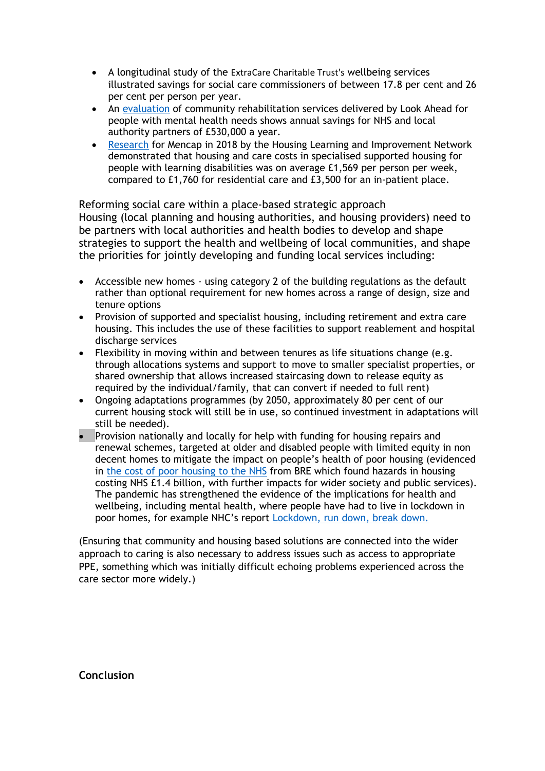- A longitudinal study of the [ExtraCare](https://www.extracare.org.uk/research/findings/) [Charitable](https://www.extracare.org.uk/research/findings/) [Trust's](https://www.extracare.org.uk/research/findings/) wellbeing services illustrated savings for social care commissioners of between 17.8 per cent and 26 per cent per person per year.
- An [evaluation](https://www.lookahead.org.uk/integratedmh/) of community rehabilitation services delivered by Look Ahead for people with mental health needs shows annual savings for NHS and local authority partners of £530,000 a year.
- [Research](https://www.housinglin.org.uk/_assets/Resources/Housing/Support_materials/Other_reports_and_guidance/Funding-supported-housing-for-all-Specialised-Supported-Housing-for-people-with-a-learning-disability.pdf) for Mencap in 2018 by the Housing Learning and Improvement Network demonstrated that housing and care costs in specialised supported housing for people with learning disabilities was on average £1,569 per person per week, compared to £1,760 for residential care and £3,500 for an in-patient place.

#### Reforming social care within a place-based strategic approach Housing (local planning and housing authorities, and housing providers) need to be partners with local authorities and health bodies to develop and shape strategies to support the health and wellbeing of local communities, and shape the priorities for jointly developing and funding local services including:

- Accessible new homes using category 2 of the building regulations as the default rather than optional requirement for new homes across a range of design, size and tenure options
- Provision of supported and specialist housing, including retirement and extra care housing. This includes the use of these facilities to support reablement and hospital discharge services
- Flexibility in moving within and between tenures as life situations change (e.g. through allocations systems and support to move to smaller specialist properties, or shared ownership that allows increased staircasing down to release equity as required by the individual/family, that can convert if needed to full rent)
- Ongoing adaptations programmes (by 2050, approximately 80 per cent of our current housing stock will still be in use, so continued investment in adaptations will still be needed).
- Provision nationally and locally for help with funding for housing repairs and renewal schemes, targeted at older and disabled people with limited equity in non decent homes to mitigate the impact on people's health of poor housing (evidenced in [the](https://www.bre.co.uk/healthbriefings) [cost](https://www.bre.co.uk/healthbriefings) [of](https://www.bre.co.uk/healthbriefings) [poor](https://www.bre.co.uk/healthbriefings) [housing](https://www.bre.co.uk/healthbriefings) [to](https://www.bre.co.uk/healthbriefings) [the](https://www.bre.co.uk/healthbriefings) [NHS](https://www.bre.co.uk/healthbriefings) from BRE which found hazards in housing costing NHS £1.4 billion, with further impacts for wider society and public services). The pandemic has strengthened the evidence of the implications for health and wellbeing, including mental health, where people have had to live in lockdown in poor homes, for example NHC's report [Lockdown,](https://www.northern-consortium.org.uk/influencing/lockdown/) [run](https://www.northern-consortium.org.uk/influencing/lockdown/) [down,](https://www.northern-consortium.org.uk/influencing/lockdown/) [break](https://www.northern-consortium.org.uk/influencing/lockdown/) [down.](https://www.northern-consortium.org.uk/influencing/lockdown/)

(Ensuring that community and housing based solutions are connected into the wider approach to caring is also necessary to address issues such as access to appropriate PPE, something which was initially difficult echoing problems experienced across the care sector more widely.)

**Conclusion**